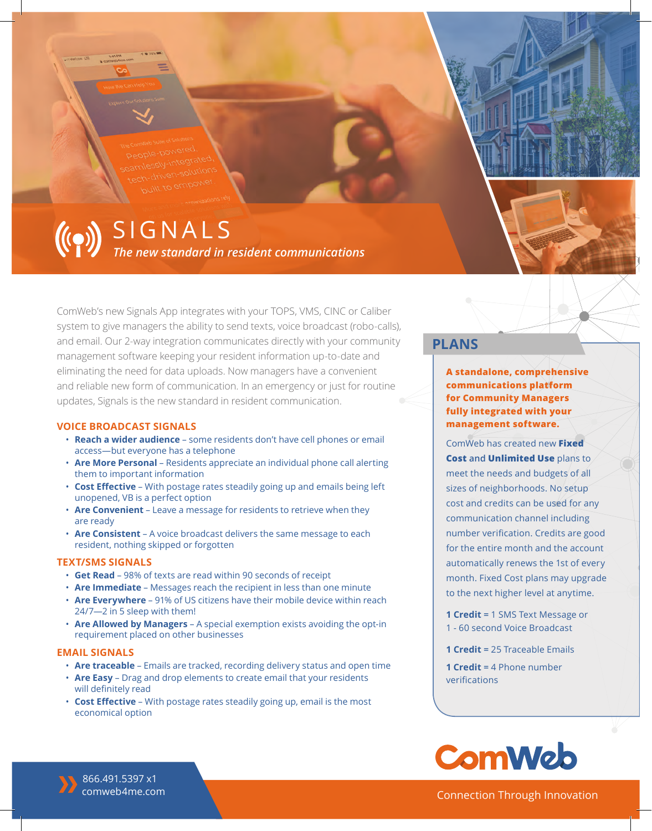*The new standard in resident communications* ((e)) SIGNALS

ComWeb's new Signals App integrates with your TOPS, VMS, CINC or Caliber system to give managers the ability to send texts, voice broadcast (robo-calls), and email. Our 2-way integration communicates directly with your community management software keeping your resident information up-to-date and eliminating the need for data uploads. Now managers have a convenient and reliable new form of communication. In an emergency or just for routine updates, Signals is the new standard in resident communication.

#### **VOICE BROADCAST SIGNALS**

- **Reach a wider audience** some residents don't have cell phones or email access—but everyone has a telephone
- **Are More Personal** Residents appreciate an individual phone call alerting them to important information
- **Cost Effective** With postage rates steadily going up and emails being left unopened, VB is a perfect option
- **Are Convenient** Leave a message for residents to retrieve when they are ready
- **Are Consistent** A voice broadcast delivers the same message to each resident, nothing skipped or forgotten

#### **TEXT/SMS SIGNALS**

- **Get Read** 98% of texts are read within 90 seconds of receipt
- **Are Immediate** Messages reach the recipient in less than one minute
- **Are Everywhere** 91% of US citizens have their mobile device within reach 24/7—2 in 5 sleep with them!
- **Are Allowed by Managers** A special exemption exists avoiding the opt-in requirement placed on other businesses

#### **EMAIL SIGNALS**

- **Are traceable** Emails are tracked, recording delivery status and open time
- **Are Easy** Drag and drop elements to create email that your residents will definitely read
- **Cost Effective** With postage rates steadily going up, email is the most economical option

# **PLANS**

**A standalone, comprehensive communications platform for Community Managers fully integrated with your management software.** 

ComWeb has created new **Fixed Cost and Unlimited Use** plans to meet the needs and budgets of all sizes of neighborhoods. No setup cost and credits can be used for any communication channel including number verification. Credits are good for the entire month and the account automatically renews the 1st of every month. Fixed Cost plans may upgrade to the next higher level at anytime.

- **1 Credit =** 1 SMS Text Message or 1 - 60 second Voice Broadcast
- **1 Credit =** 25 Traceable Emails

**1 Credit =** 4 Phone number verifications



Connection Through Innovation